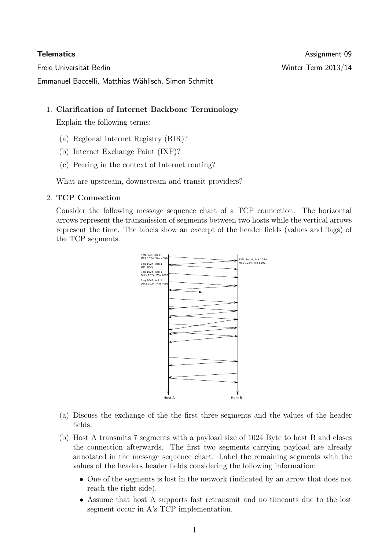Emmanuel Baccelli, Matthias Wählisch, Simon Schmitt

## 1. Clarification of Internet Backbone Terminology

Explain the following terms:

- (a) Regional Internet Registry (RIR)?
- (b) Internet Exchange Point (IXP)?
- (c) Peering in the context of Internet routing?

What are upstream, downstream and transit providers?

# 2. TCP Connection

Consider the following message sequence chart of a TCP connection. The horizontal arrows represent the transmission of segments between two hosts while the vertical arrows represent the time. The labels show an excerpt of the header fields (values and flags) of the TCP segments.



- (a) Discuss the exchange of the the first three segments and the values of the header fields.
- (b) Host A transmits 7 segments with a payload size of 1024 Byte to host B and closes the connection afterwards. The first two segments carrying payload are already annotated in the message sequence chart. Label the remaining segments with the values of the headers header fields considering the following information:
	- One of the segments is lost in the network (indicated by an arrow that does not reach the right side).
	- Assume that host A supports fast retransmit and no timeouts due to the lost segment occur in A's TCP implementation.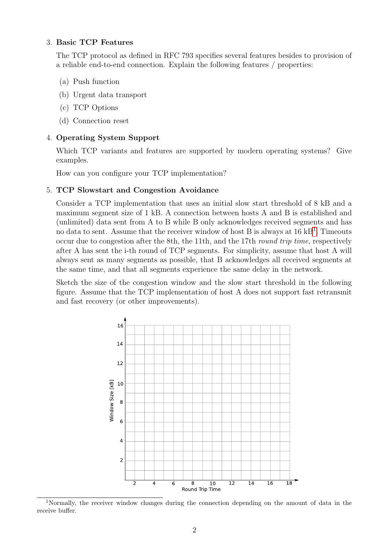# 3. Basic TCP Features

The TCP protocol as defined in RFC 793 specifies several features besides to provision of a reliable end-to-end connection. Explain the following features / properties:

- (a) Push function
- (b) Urgent data transport
- (c) TCP Options
- (d) Connection reset

## 4. Operating System Support

Which TCP variants and features are supported by modern operating systems? Give examples.

How can you configure your TCP implementation?

## 5. TCP Slowstart and Congestion Avoidance

Consider a TCP implementation that uses an initial slow start threshold of 8 kB and a maximum segment size of 1 kB. A connection between hosts A and B is established and (unlimited) data sent from A to B while B only acknowledges received segments and has no data to sent. Assume that the receiver window of host B is always at  $16 \text{ kB}^1$  $16 \text{ kB}^1$ . Timeouts occur due to congestion after the 8th, the 11th, and the 17th round trip time, respectively after A has sent the i-th round of TCP segments. For simplicity, assume that host A will always sent as many segments as possible, that B acknowledges all received segments at the same time, and that all segments experience the same delay in the network.

Sketch the size of the congestion window and the slow start threshold in the following figure. Assume that the TCP implementation of host A does not support fast retransmit and fast recovery (or other improvements).



<span id="page-1-0"></span><sup>1</sup>Normally, the receiver window changes during the connection depending on the amount of data in the receive buffer.